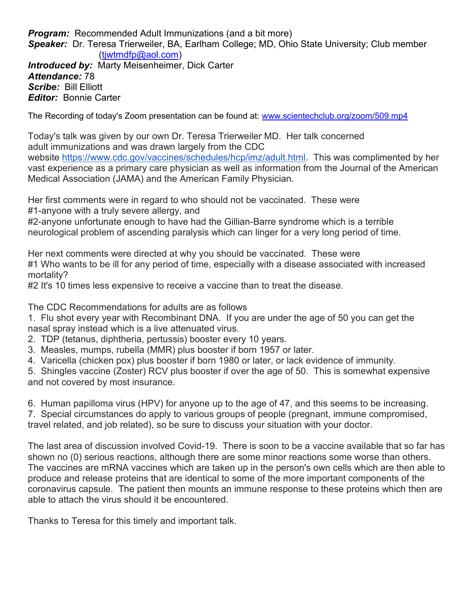**Program:** Recommended Adult Immunizations (and a bit more) Speaker: Dr. Teresa Trierweiler, BA, Earlham College; MD, Ohio State University; Club member (tjwtmdfp@aol.com) **Introduced by: Marty Meisenheimer, Dick Carter** Attendance: 78 Scribe: Bill Elliott Editor: Bonnie Carter

The Recording of today's Zoom presentation can be found at: www.scientechclub.org/zoom/509.mp4

Today's talk was given by our own Dr. Teresa Trierweiler MD. Her talk concerned adult immunizations and was drawn largely from the CDC website https://www.cdc.gov/vaccines/schedules/hcp/imz/adult.html. This was complimented by her vast experience as a primary care physician as well as information from the Journal of the American Medical Association (JAMA) and the American Family Physician.

Her first comments were in regard to who should not be vaccinated. These were #1-anyone with a truly severe allergy, and

#2-anyone unfortunate enough to have had the Gillian-Barre syndrome which is a terrible neurological problem of ascending paralysis which can linger for a very long period of time.

Her next comments were directed at why you should be vaccinated. These were #1 Who wants to be ill for any period of time, especially with a disease associated with increased mortality?

#2 It's 10 times less expensive to receive a vaccine than to treat the disease.

The CDC Recommendations for adults are as follows

1. Flu shot every year with Recombinant DNA. If you are under the age of 50 you can get the nasal spray instead which is a live attenuated virus.

- 2. TDP (tetanus, diphtheria, pertussis) booster every 10 years.
- 3. Measles, mumps, rubella (MMR) plus booster if born 1957 or later.
- 4. Varicella (chicken pox) plus booster if born 1980 or later, or lack evidence of immunity.

5. Shingles vaccine (Zoster) RCV plus booster if over the age of 50. This is somewhat expensive and not covered by most insurance.

6. Human papilloma virus (HPV) for anyone up to the age of 47, and this seems to be increasing.

7. Special circumstances do apply to various groups of people (pregnant, immune compromised, travel related, and job related), so be sure to discuss your situation with your doctor.

The last area of discussion involved Covid-19. There is soon to be a vaccine available that so far has shown no (0) serious reactions, although there are some minor reactions some worse than others. The vaccines are mRNA vaccines which are taken up in the person's own cells which are then able to produce and release proteins that are identical to some of the more important components of the coronavirus capsule. The patient then mounts an immune response to these proteins which then are able to attach the virus should it be encountered.

Thanks to Teresa for this timely and important talk.